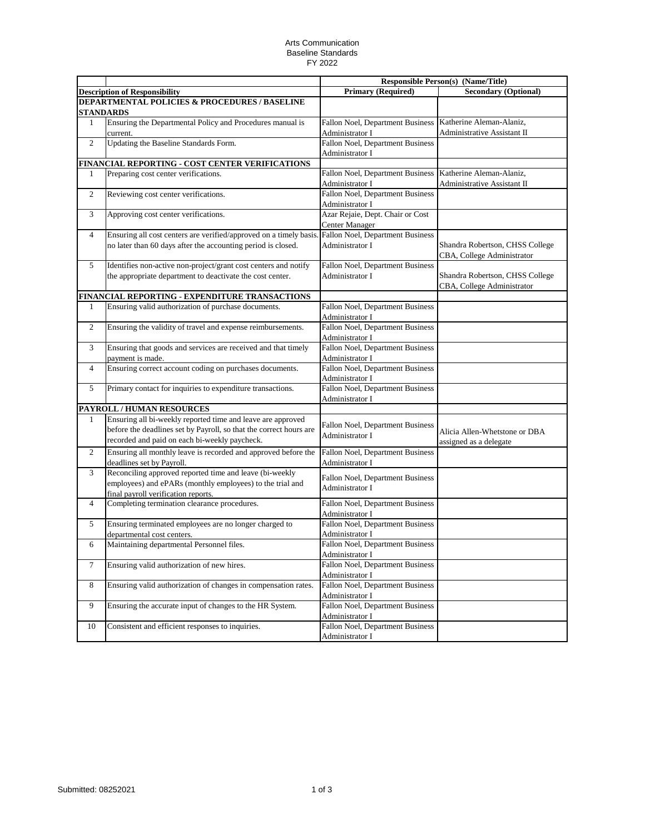## Arts Communication Baseline Standards FY 2022

|                                                          |                                                                                                     | <b>Responsible Person(s) (Name/Title)</b>                   |                                 |  |  |  |
|----------------------------------------------------------|-----------------------------------------------------------------------------------------------------|-------------------------------------------------------------|---------------------------------|--|--|--|
|                                                          | <b>Description of Responsibility</b>                                                                | <b>Primary (Required)</b>                                   | <b>Secondary (Optional)</b>     |  |  |  |
| <b>DEPARTMENTAL POLICIES &amp; PROCEDURES / BASELINE</b> |                                                                                                     |                                                             |                                 |  |  |  |
|                                                          | <b>STANDARDS</b>                                                                                    |                                                             |                                 |  |  |  |
| 1                                                        | Ensuring the Departmental Policy and Procedures manual is                                           | Fallon Noel, Department Business                            | Katherine Aleman-Alaniz,        |  |  |  |
|                                                          | current.                                                                                            | Administrator I                                             | Administrative Assistant II     |  |  |  |
| $\overline{2}$                                           | Updating the Baseline Standards Form.                                                               | Fallon Noel, Department Business                            |                                 |  |  |  |
|                                                          |                                                                                                     | Administrator I                                             |                                 |  |  |  |
|                                                          | FINANCIAL REPORTING - COST CENTER VERIFICATIONS                                                     |                                                             |                                 |  |  |  |
| 1                                                        | Preparing cost center verifications.                                                                | Fallon Noel, Department Business   Katherine Aleman-Alaniz, |                                 |  |  |  |
|                                                          |                                                                                                     | Administrator I                                             | Administrative Assistant II     |  |  |  |
| $\overline{c}$                                           | Reviewing cost center verifications.                                                                | Fallon Noel, Department Business<br>Administrator I         |                                 |  |  |  |
|                                                          |                                                                                                     |                                                             |                                 |  |  |  |
| 3                                                        | Approving cost center verifications.                                                                | Azar Rejaie, Dept. Chair or Cost                            |                                 |  |  |  |
| 4                                                        | Ensuring all cost centers are verified/approved on a timely basis. Fallon Noel, Department Business | <b>Center Manager</b>                                       |                                 |  |  |  |
|                                                          | no later than 60 days after the accounting period is closed.                                        | Administrator I                                             | Shandra Robertson, CHSS College |  |  |  |
|                                                          |                                                                                                     |                                                             | CBA, College Administrator      |  |  |  |
| 5                                                        | Identifies non-active non-project/grant cost centers and notify                                     | Fallon Noel, Department Business                            |                                 |  |  |  |
|                                                          | the appropriate department to deactivate the cost center.                                           | Administrator I                                             | Shandra Robertson, CHSS College |  |  |  |
|                                                          |                                                                                                     |                                                             | CBA, College Administrator      |  |  |  |
|                                                          | FINANCIAL REPORTING - EXPENDITURE TRANSACTIONS                                                      |                                                             |                                 |  |  |  |
| 1                                                        | Ensuring valid authorization of purchase documents.                                                 | Fallon Noel, Department Business                            |                                 |  |  |  |
|                                                          |                                                                                                     | Administrator I                                             |                                 |  |  |  |
| $\overline{2}$                                           | Ensuring the validity of travel and expense reimbursements.                                         | Fallon Noel, Department Business                            |                                 |  |  |  |
|                                                          |                                                                                                     | Administrator I                                             |                                 |  |  |  |
| 3                                                        | Ensuring that goods and services are received and that timely                                       | Fallon Noel, Department Business                            |                                 |  |  |  |
|                                                          | payment is made.                                                                                    | Administrator I                                             |                                 |  |  |  |
| 4                                                        | Ensuring correct account coding on purchases documents.                                             | Fallon Noel, Department Business                            |                                 |  |  |  |
|                                                          |                                                                                                     | Administrator I                                             |                                 |  |  |  |
| 5                                                        | Primary contact for inquiries to expenditure transactions.                                          | Fallon Noel, Department Business                            |                                 |  |  |  |
|                                                          |                                                                                                     | Administrator I                                             |                                 |  |  |  |
|                                                          | PAYROLL / HUMAN RESOURCES                                                                           |                                                             |                                 |  |  |  |
| 1                                                        | Ensuring all bi-weekly reported time and leave are approved                                         |                                                             |                                 |  |  |  |
|                                                          | before the deadlines set by Payroll, so that the correct hours are                                  | Fallon Noel, Department Business<br>Administrator I         | Alicia Allen-Whetstone or DBA   |  |  |  |
|                                                          | recorded and paid on each bi-weekly paycheck.                                                       |                                                             | assigned as a delegate          |  |  |  |
| $\overline{2}$                                           | Ensuring all monthly leave is recorded and approved before the                                      | Fallon Noel, Department Business                            |                                 |  |  |  |
|                                                          | deadlines set by Payroll.                                                                           | Administrator I                                             |                                 |  |  |  |
| 3                                                        | Reconciling approved reported time and leave (bi-weekly                                             | Fallon Noel, Department Business                            |                                 |  |  |  |
|                                                          | employees) and ePARs (monthly employees) to the trial and                                           | Administrator I                                             |                                 |  |  |  |
|                                                          | final payroll verification reports.                                                                 |                                                             |                                 |  |  |  |
| 4                                                        | Completing termination clearance procedures.                                                        | Fallon Noel, Department Business                            |                                 |  |  |  |
|                                                          |                                                                                                     | Administrator I                                             |                                 |  |  |  |
| 5                                                        | Ensuring terminated employees are no longer charged to                                              | Fallon Noel, Department Business                            |                                 |  |  |  |
|                                                          | departmental cost centers.                                                                          | Administrator I                                             |                                 |  |  |  |
| 6                                                        | Maintaining departmental Personnel files.                                                           | Fallon Noel, Department Business                            |                                 |  |  |  |
|                                                          |                                                                                                     | Administrator I                                             |                                 |  |  |  |
| 7                                                        | Ensuring valid authorization of new hires.                                                          | Fallon Noel, Department Business                            |                                 |  |  |  |
|                                                          |                                                                                                     | Administrator I                                             |                                 |  |  |  |
| 8                                                        | Ensuring valid authorization of changes in compensation rates.                                      | Fallon Noel, Department Business                            |                                 |  |  |  |
|                                                          |                                                                                                     | Administrator I                                             |                                 |  |  |  |
| 9                                                        | Ensuring the accurate input of changes to the HR System.                                            | Fallon Noel, Department Business<br>Administrator I         |                                 |  |  |  |
| 10                                                       | Consistent and efficient responses to inquiries.                                                    | Fallon Noel, Department Business                            |                                 |  |  |  |
|                                                          |                                                                                                     | Administrator I                                             |                                 |  |  |  |
|                                                          |                                                                                                     |                                                             |                                 |  |  |  |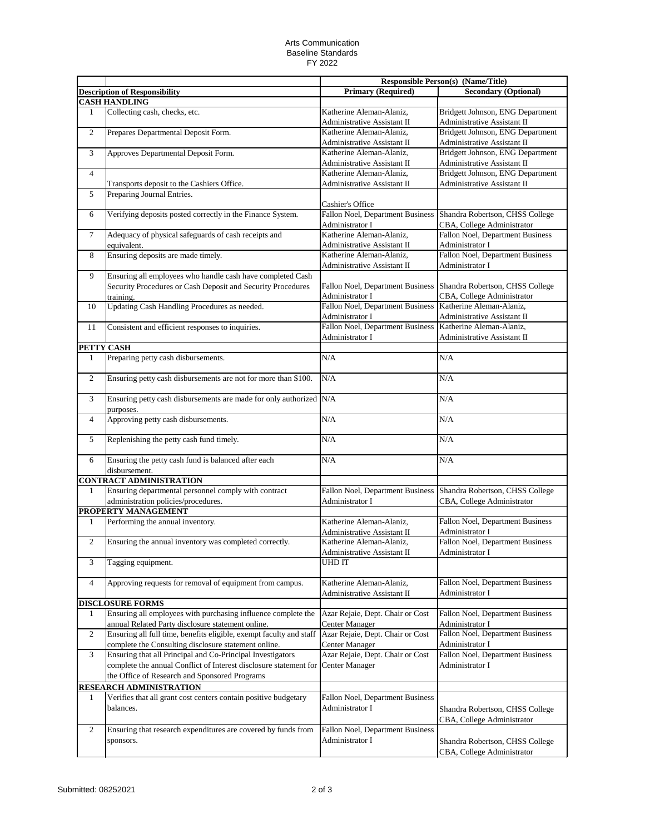## Arts Communication Baseline Standards FY 2022

|                                |                                                                      |                                  | <b>Responsible Person(s) (Name/Title)</b> |
|--------------------------------|----------------------------------------------------------------------|----------------------------------|-------------------------------------------|
|                                | <b>Description of Responsibility</b>                                 | <b>Primary (Required)</b>        | <b>Secondary (Optional)</b>               |
|                                | <b>CASH HANDLING</b>                                                 |                                  |                                           |
| 1                              | Collecting cash, checks, etc.                                        | Katherine Aleman-Alaniz,         | Bridgett Johnson, ENG Department          |
|                                |                                                                      | Administrative Assistant II      | Administrative Assistant II               |
| $\overline{2}$                 | Prepares Departmental Deposit Form.                                  | Katherine Aleman-Alaniz,         | Bridgett Johnson, ENG Department          |
|                                |                                                                      | Administrative Assistant II      | Administrative Assistant II               |
| 3                              | Approves Departmental Deposit Form.                                  | Katherine Aleman-Alaniz,         | Bridgett Johnson, ENG Department          |
|                                |                                                                      | Administrative Assistant II      | Administrative Assistant II               |
| $\overline{4}$                 |                                                                      | Katherine Aleman-Alaniz,         | Bridgett Johnson, ENG Department          |
|                                | Transports deposit to the Cashiers Office.                           | Administrative Assistant II      | Administrative Assistant II               |
| 5                              | Preparing Journal Entries.                                           |                                  |                                           |
|                                |                                                                      | Cashier's Office                 |                                           |
| 6                              | Verifying deposits posted correctly in the Finance System.           | Fallon Noel, Department Business | Shandra Robertson, CHSS College           |
|                                |                                                                      | Administrator I                  | CBA, College Administrator                |
| 7                              | Adequacy of physical safeguards of cash receipts and                 | Katherine Aleman-Alaniz,         | <b>Fallon Noel, Department Business</b>   |
|                                | equivalent.                                                          | Administrative Assistant II      | Administrator I                           |
| 8                              | Ensuring deposits are made timely.                                   | Katherine Aleman-Alaniz,         | <b>Fallon Noel, Department Business</b>   |
|                                |                                                                      | Administrative Assistant II      | Administrator I                           |
| 9                              | Ensuring all employees who handle cash have completed Cash           |                                  |                                           |
|                                | Security Procedures or Cash Deposit and Security Procedures          | Fallon Noel, Department Business | Shandra Robertson, CHSS College           |
|                                | training.                                                            | Administrator I                  | CBA, College Administrator                |
| 10                             | Updating Cash Handling Procedures as needed.                         | Fallon Noel, Department Business | Katherine Aleman-Alaniz,                  |
|                                |                                                                      | Administrator I                  | Administrative Assistant II               |
| 11                             | Consistent and efficient responses to inquiries.                     | Fallon Noel, Department Business | Katherine Aleman-Alaniz,                  |
|                                |                                                                      | Administrator I                  | Administrative Assistant II               |
| PETTY CASH                     |                                                                      |                                  |                                           |
| $\mathbf{1}$                   | Preparing petty cash disbursements.                                  | N/A                              | N/A                                       |
|                                |                                                                      |                                  |                                           |
| $\overline{2}$                 | Ensuring petty cash disbursements are not for more than \$100.       | N/A                              | N/A                                       |
| 3                              | Ensuring petty cash disbursements are made for only authorized N/A   |                                  | N/A                                       |
| 4                              | purposes.<br>Approving petty cash disbursements.                     | N/A                              | N/A                                       |
|                                |                                                                      |                                  |                                           |
| 5                              | Replenishing the petty cash fund timely.                             | N/A                              | N/A                                       |
| 6                              | Ensuring the petty cash fund is balanced after each<br>disbursement. | N/A                              | N/A                                       |
|                                | <b>CONTRACT ADMINISTRATION</b>                                       |                                  |                                           |
| 1                              | Ensuring departmental personnel comply with contract                 | Fallon Noel, Department Business | Shandra Robertson, CHSS College           |
|                                | administration policies/procedures.                                  | Administrator I                  | CBA, College Administrator                |
|                                | PROPERTY MANAGEMENT                                                  |                                  |                                           |
| 1                              | Performing the annual inventory.                                     | Katherine Aleman-Alaniz,         | Fallon Noel, Department Business          |
|                                |                                                                      | Administrative Assistant II      | Administrator I                           |
| 2                              | Ensuring the annual inventory was completed correctly.               | Katherine Aleman-Alaniz,         | Fallon Noel, Department Business          |
|                                |                                                                      | Administrative Assistant II      | Administrator I                           |
| 3                              | Tagging equipment.                                                   | <b>UHDIT</b>                     |                                           |
|                                |                                                                      |                                  |                                           |
| 4                              | Approving requests for removal of equipment from campus.             | Katherine Aleman-Alaniz,         | <b>Fallon Noel, Department Business</b>   |
|                                |                                                                      | Administrative Assistant II      | Administrator I                           |
|                                | <b>DISCLOSURE FORMS</b>                                              |                                  |                                           |
| 1                              | Ensuring all employees with purchasing influence complete the        | Azar Rejaie, Dept. Chair or Cost | Fallon Noel, Department Business          |
|                                | annual Related Party disclosure statement online.                    | <b>Center Manager</b>            | Administrator I                           |
| $\overline{c}$                 | Ensuring all full time, benefits eligible, exempt faculty and staff  | Azar Rejaie, Dept. Chair or Cost | Fallon Noel, Department Business          |
|                                | complete the Consulting disclosure statement online.                 | <b>Center Manager</b>            | Administrator I                           |
| 3                              | Ensuring that all Principal and Co-Principal Investigators           | Azar Rejaie, Dept. Chair or Cost | Fallon Noel, Department Business          |
|                                | complete the annual Conflict of Interest disclosure statement for    | Center Manager                   | Administrator I                           |
|                                | the Office of Research and Sponsored Programs                        |                                  |                                           |
| <b>RESEARCH ADMINISTRATION</b> |                                                                      |                                  |                                           |
| 1                              | Verifies that all grant cost centers contain positive budgetary      | Fallon Noel, Department Business |                                           |
|                                | balances.                                                            | Administrator I                  | Shandra Robertson, CHSS College           |
|                                |                                                                      |                                  | CBA, College Administrator                |
| 2                              | Ensuring that research expenditures are covered by funds from        | Fallon Noel, Department Business |                                           |
|                                | sponsors.                                                            | Administrator I                  |                                           |
|                                |                                                                      |                                  | Shandra Robertson, CHSS College           |
|                                |                                                                      |                                  | CBA, College Administrator                |